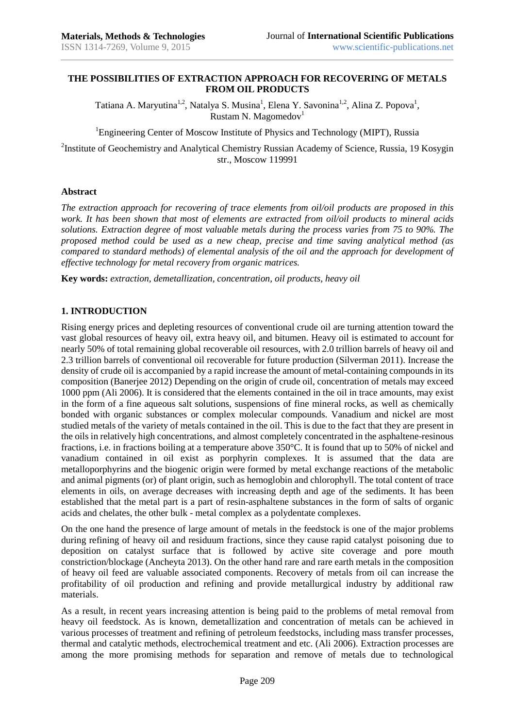### **THE POSSIBILITIES OF EXTRACTION APPROACH FOR RECOVERING OF METALS FROM OIL PRODUCTS**

Tatiana A. Maryutina<sup>1,2</sup>, Natalya S. Musina<sup>1</sup>, Elena Y. Savonina<sup>1,2</sup>, Alina Z. Popova<sup>1</sup>, Rustam N. Magomedov<sup>1</sup>

<sup>1</sup>Engineering Center of Moscow Institute of Physics and Technology (MIPT), Russia

<sup>2</sup>Institute of Geochemistry and Analytical Chemistry Russian Academy of Science, Russia, 19 Kosygin str., Moscow 119991

#### **Abstract**

*The extraction approach for recovering of trace elements from oil/oil products are proposed in this work. It has been shown that most of elements are extracted from oil/oil products to mineral acids solutions. Extraction degree of most valuable metals during the process varies from 75 to 90%. The proposed method could be used as a new cheap, precise and time saving analytical method (as compared to standard methods) of elemental analysis of the oil and the approach for development of effective technology for metal recovery from organic matrices.* 

**Key words:** *extraction, demetallization, concentration, oil products, heavy oil*

### **1. INTRODUCTION**

Rising energy prices and depleting resources of conventional crude oil are turning attention toward the vast global resources of heavy oil, extra heavy oil, and bitumen. Heavy oil is estimated to account for nearly 50% of total remaining global recoverable oil resources, with 2.0 trillion barrels of heavy oil and 2.3 trillion barrels of conventional oil recoverable for future production (Silverman 2011). Increase the density of crude oil is accompanied by a rapid increase the amount of metal-containing compounds in its composition (Banerjee 2012) Depending on the origin of crude oil, concentration of metals may exceed 1000 ppm (Ali 2006). It is considered that the elements contained in the oil in trace amounts, may exist in the form of a fine aqueous salt solutions, suspensions of fine mineral rocks, as well as chemically bonded with organic substances or complex molecular compounds. Vanadium and nickel are most studied metals of the variety of metals contained in the oil. This is due to the fact that they are present in the oils in relatively high concentrations, and almost completely concentrated in the asphaltene-resinous fractions, i.e. in fractions boiling at a temperature above 350°C. It is found that up to 50% of nickel and vanadium contained in oil exist as porphyrin complexes. It is assumed that the data are metalloporphyrins and the biogenic origin were formed by metal exchange reactions of the metabolic and animal pigments (or) of plant origin, such as hemoglobin and chlorophyll. The total content of trace elements in oils, on average decreases with increasing depth and age of the sediments. It has been established that the metal part is a part of resin-asphaltene substances in the form of salts of organic acids and chelates, the other bulk - metal complex as a polydentate complexes.

On the one hand the presence of large amount of metals in the feedstock is one of the major problems during refining of heavy oil and residuum fractions, since they cause rapid catalyst poisoning due to deposition on catalyst surface that is followed by active site coverage and pore mouth constriction/blockage (Ancheyta 2013). On the other hand rare and rare earth metals in the composition of heavy oil feed are valuable associated components. Recovery of metals from oil can increase the profitability of oil production and refining and provide metallurgical industry by additional raw materials.

As a result, in recent years increasing attention is being paid to the problems of metal removal from heavy oil feedstock. As is known, demetallization and concentration of metals can be achieved in various processes of treatment and refining of petroleum feedstocks, including mass transfer processes, thermal and catalytic methods, electrochemical treatment and etc. (Ali 2006). Extraction processes are among the more promising methods for separation and remove of metals due to technological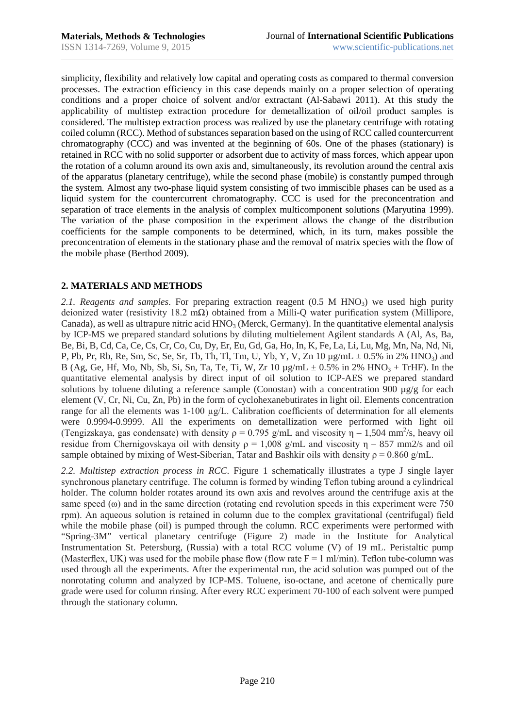simplicity, flexibility and relatively low capital and operating costs as compared to thermal conversion processes. The extraction efficiency in this case depends mainly on a proper selection of operating conditions and a proper choice of solvent and/or extractant (Al-Sabawi 2011). At this study the applicability of multistep extraction procedure for demetallization of oil/oil product samples is considered. The multistep extraction process was realized by use the planetary centrifuge with rotating coiled column (RCC). Method of substances separation based on the using of RCC called countercurrent chromatography (CCC) and was invented at the beginning of 60s. One of the phases (stationary) is retained in RCC with no solid supporter or adsorbent due to activity of mass forces, which appear upon the rotation of a column around its own axis and, simultaneously, its revolution around the central axis of the apparatus (planetary centrifuge), while the second phase (mobile) is constantly pumped through the system. Almost any two-phase liquid system consisting of two immiscible phases can be used as a liquid system for the countercurrent chromatography. CCC is used for the preconcentration and separation of trace elements in the analysis of complex multicomponent solutions (Maryutina 1999). The variation of the phase composition in the experiment allows the change of the distribution coefficients for the sample components to be determined, which, in its turn, makes possible the preconcentration of elements in the stationary phase and the removal of matrix species with the flow of the mobile phase (Berthod 2009).

## **2. MATERIALS AND METHODS**

2.1. Reagents and samples. For preparing extraction reagent (0.5 M HNO<sub>3</sub>) we used high purity deionized water (resistivity 18.2 mΩ) obtained from a Milli-Q water purification system (Millipore, Canada), as well as ultrapure nitric acid  $HNO<sub>3</sub>$  (Merck, Germany). In the quantitative elemental analysis by ICP-MS we prepared standard solutions by diluting multielement Agilent standards A (Al, As, Ba, Be, Bi, B, Cd, Ca, Ce, Cs, Cr, Co, Cu, Dy, Er, Eu, Gd, Ga, Ho, In, K, Fe, La, Li, Lu, Mg, Mn, Na, Nd, Ni, P, Pb, Pr, Rb, Re, Sm, Sc, Se, Sr, Tb, Th, Tl, Tm, U, Yb, Y, V, Zn  $10 \mu g/mL \pm 0.5\%$  in 2% HNO<sub>3</sub>) and B (Ag, Ge, Hf, Mo, Nb, Sb, Si, Sn, Ta, Te, Ti, W, Zr 10  $\mu$ g/mL  $\pm$  0.5% in 2% HNO<sub>3</sub> + TrHF). In the quantitative elemental analysis by direct input of oil solution to ICP-AES we prepared standard solutions by toluene diluting a reference sample (Conostan) with a concentration 900  $\mu$ g/g for each element (V, Cr, Ni, Cu, Zn, Pb) in the form of cyclohexanebutirates in light oil. Elements concentration range for all the elements was 1-100 µg/L. Calibration coefficients of determination for all elements were 0.9994-0.9999. All the experiments on demetallization were performed with light oil (Tengizskaya, gas condensate) with density  $\rho = 0.795$  g/mL and viscosity  $\eta - 1,504$  mm<sup>2</sup>/s, heavy oil residue from Chernigovskaya oil with density  $\rho = 1.008$  g/mL and viscosity  $n - 857$  mm2/s and oil sample obtained by mixing of West-Siberian, Tatar and Bashkir oils with density  $\rho = 0.860$  g/mL.

*2.2. Multistep extraction process in RCC*. Figure 1 schematically illustrates a type J single layer synchronous planetary centrifuge. The column is formed by winding Teflon tubing around a cylindrical holder. The column holder rotates around its own axis and revolves around the centrifuge axis at the same speed  $(\omega)$  and in the same direction (rotating end revolution speeds in this experiment were 750 rpm). An aqueous solution is retained in column due to the complex gravitational (centrifugal) field while the mobile phase (oil) is pumped through the column. RCC experiments were performed with "Spring-3M" vertical planetary centrifuge (Figure 2) made in the Institute for Analytical Instrumentation St. Petersburg, (Russia) with a total RCC volume (V) of 19 mL. Peristaltic pump (Masterflex, UK) was used for the mobile phase flow (flow rate  $F = 1$  m/min). Teflon tube-column was used through all the experiments. After the experimental run, the acid solution was pumped out of the nonrotating column and analyzed by ICP-MS. Toluene, iso-octane, and acetone of chemically pure grade were used for column rinsing. After every RCC experiment 70-100 of each solvent were pumped through the stationary column.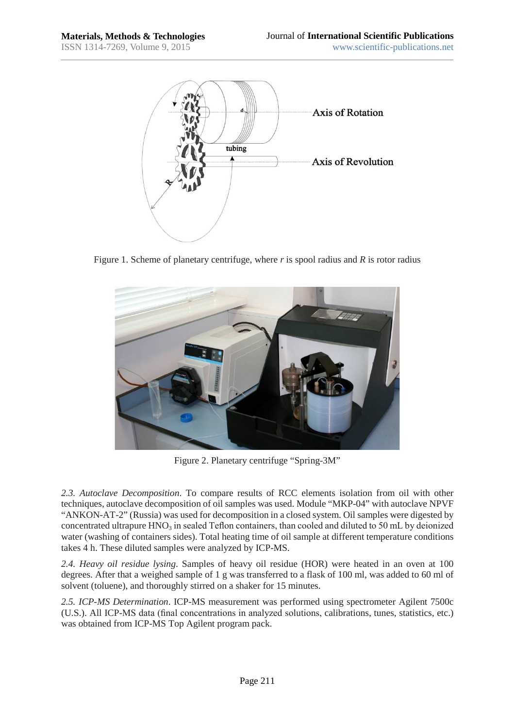

Figure 1. Scheme of planetary centrifuge, where *r* is spool radius and *R* is rotor radius



Figure 2. Planetary centrifuge "Spring-3M"

*2.3. Autoclave Decomposition*. To compare results of RCC elements isolation from oil with other techniques, autoclave decomposition of oil samples was used. Module "MKP-04" with autoclave NPVF "ANKON-AT-2" (Russia) was used for decomposition in a closed system. Oil samples were digested by concentrated ultrapure  $HNO<sub>3</sub>$  in sealed Teflon containers, than cooled and diluted to 50 mL by deionized water (washing of containers sides). Total heating time of oil sample at different temperature conditions takes 4 h. These diluted samples were analyzed by ICP-MS.

*2.4. Heavy oil residue lysing*. Samples of heavy oil residue (HOR) were heated in an oven at 100 degrees. After that a weighed sample of 1 g was transferred to a flask of 100 ml, was added to 60 ml of solvent (toluene), and thoroughly stirred on a shaker for 15 minutes.

*2.5. ICP-MS Determination*. ICP-MS measurement was performed using spectrometer Agilent 7500c (U.S.). All ICP-MS data (final concentrations in analyzed solutions, calibrations, tunes, statistics, etc.) was obtained from ICP-MS Top Agilent program pack.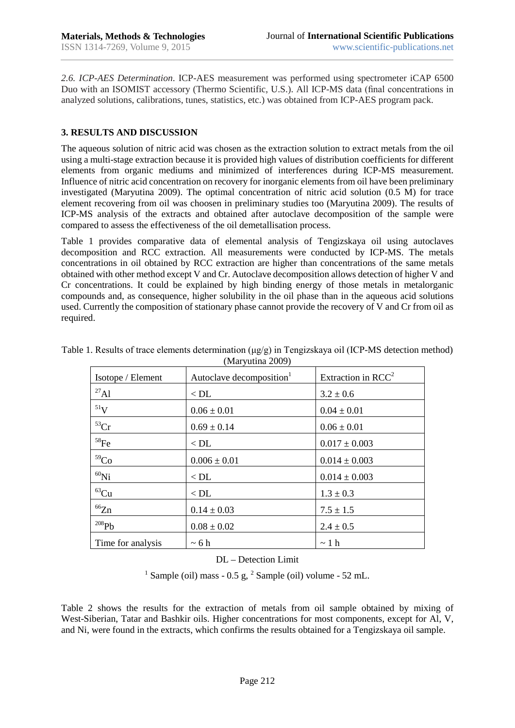*2.6. ICP-AES Determination*. ICP-AES measurement was performed using spectrometer iCAP 6500 Duo with an ISOMIST accessory (Thermo Scientific, U.S.). All ICP-MS data (final concentrations in analyzed solutions, calibrations, tunes, statistics, etc.) was obtained from ICP-AES program pack.

### **3. RESULTS AND DISCUSSION**

The aqueous solution of nitric acid was chosen as the extraction solution to extract metals from the oil using a multi-stage extraction because it is provided high values of distribution coefficients for different elements from organic mediums and minimized of interferences during ICP-MS measurement. Influence of nitric acid concentration on recovery for inorganic elements from oil have been preliminary investigated (Maryutina 2009). The optimal concentration of nitric acid solution (0.5 M) for trace element recovering from oil was choosen in preliminary studies too (Maryutina 2009). The results of ICP-MS analysis of the extracts and obtained after autoclave decomposition of the sample were compared to assess the effectiveness of the oil demetallisation process.

Table 1 provides comparative data of elemental analysis of Tengizskaya oil using autoclaves decomposition and RCC extraction. All measurements were conducted by ICP-MS. The metals concentrations in oil obtained by RCC extraction are higher than concentrations of the same metals obtained with other method except V and Cr. Autoclave decomposition allows detection of higher V and Cr concentrations. It could be explained by high binding energy of those metals in metalorganic compounds and, as consequence, higher solubility in the oil phase than in the aqueous acid solutions used. Currently the composition of stationary phase cannot provide the recovery of V and Cr from oil as required.

| $(1)$ and $(200)$  |                                      |                       |  |  |
|--------------------|--------------------------------------|-----------------------|--|--|
| Isotope / Element  | Autoclave decomposition <sup>1</sup> | Extraction in $RCC^2$ |  |  |
| $^{27}$ Al         | $<$ DL                               | $3.2 \pm 0.6$         |  |  |
| $^{51}{\rm V}$     | $0.06 \pm 0.01$                      | $0.04 \pm 0.01$       |  |  |
| ${}^{53}Cr$        | $0.69 \pm 0.14$                      | $0.06 \pm 0.01$       |  |  |
| $^{58}\mathrm{Fe}$ | $<$ DL                               | $0.017 \pm 0.003$     |  |  |
| 59 <sub>Co</sub>   | $0.006 \pm 0.01$                     | $0.014 \pm 0.003$     |  |  |
| ${}^{60}$ Ni       | $<$ DL                               | $0.014 \pm 0.003$     |  |  |
| ${}^{63}Cu$        | $<$ DL                               | $1.3 \pm 0.3$         |  |  |
| ${}^{66}Zn$        | $0.14 \pm 0.03$                      | $7.5 \pm 1.5$         |  |  |
| 208Pb              | $0.08 \pm 0.02$                      | $2.4 \pm 0.5$         |  |  |
| Time for analysis  | $\sim 6 h$                           | $\sim$ 1 h            |  |  |

Table 1. Results of trace elements determination (μg/g) in Tengizskaya oil (ICP-MS detection method) (Maryutina 2009)

DL – Detection Limit

<sup>1</sup> Sample (oil) mass - 0.5 g,  $^{2}$  Sample (oil) volume - 52 mL.

Table 2 shows the results for the extraction of metals from oil sample obtained by mixing of West-Siberian, Tatar and Bashkir oils. Higher concentrations for most components, except for Al, V, and Ni, were found in the extracts, which confirms the results obtained for a Tengizskaya oil sample.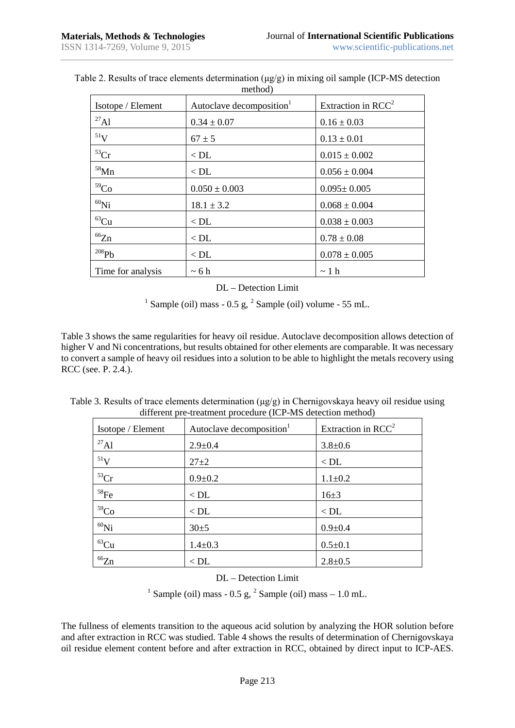| Isotope / Element | Autoclave decomposition <sup>1</sup> | Extraction in $RCC^2$ |
|-------------------|--------------------------------------|-----------------------|
| $^{27}$ Al        | $0.34 \pm 0.07$                      | $0.16 \pm 0.03$       |
| $51$ V            | $67 \pm 5$                           | $0.13 \pm 0.01$       |
| ${}^{53}Cr$       | $<$ DL                               | $0.015 \pm 0.002$     |
| $58$ Mn           | $<$ DL                               | $0.056 \pm 0.004$     |
| 59 <sub>Co</sub>  | $0.050 \pm 0.003$                    | $0.095 \pm 0.005$     |
| ${}^{60}$ Ni      | $18.1 \pm 3.2$                       | $0.068 \pm 0.004$     |
| ${}^{63}Cu$       | $<$ DL                               | $0.038 \pm 0.003$     |
| ${}^{66}Zn$       | $<$ DL                               | $0.78 \pm 0.08$       |
| $^{208}Pb$        | $<$ DL                               | $0.078 \pm 0.005$     |
| Time for analysis | $~5$ 6 h                             | $\sim$ 1 h            |

Table 2. Results of trace elements determination (μg/g) in mixing oil sample (ICP-MS detection method)

#### DL – Detection Limit

<sup>1</sup> Sample (oil) mass - 0.5 g,  $^2$  Sample (oil) volume - 55 mL.

Table 3 shows the same regularities for heavy oil residue. Autoclave decomposition allows detection of higher V and Ni concentrations, but results obtained for other elements are comparable. It was necessary to convert a sample of heavy oil residues into a solution to be able to highlight the metals recovery using RCC (see. P. 2.4.).

| Table 3. Results of trace elements determination ( $\mu$ g/g) in Chernigovskaya heavy oil residue using |  |                                                             |  |
|---------------------------------------------------------------------------------------------------------|--|-------------------------------------------------------------|--|
|                                                                                                         |  | different pre-treatment procedure (ICP-MS detection method) |  |

| Isotope / Element  | Autoclave decomposition <sup>1</sup> | Extraction in $RCC^2$ |
|--------------------|--------------------------------------|-----------------------|
| $^{27}$ Al         | $2.9 \pm 0.4$                        | $3.8 + 0.6$           |
| $\rm ^{51}V$       | $27 + 2$                             | $<$ DL                |
| ${}^{53}Cr$        | $0.9 + 0.2$                          | $1.1 \pm 0.2$         |
| $^{58}\mathrm{Fe}$ | $<$ DL                               | $16+3$                |
| 59 <sub>Co</sub>   | $<$ DL                               | $<$ DL                |
| ${}^{60}$ Ni       | $30+5$                               | $0.9 + 0.4$           |
| ${}^{63}Cu$        | $1.4 \pm 0.3$                        | $0.5 \pm 0.1$         |
| ${}^{66}Zn$        | $<$ DL                               | $2.8 \pm 0.5$         |

# DL – Detection Limit

<sup>1</sup> Sample (oil) mass - 0.5 g,  $^2$  Sample (oil) mass - 1.0 mL.

The fullness of elements transition to the aqueous acid solution by analyzing the HOR solution before and after extraction in RCC was studied. Table 4 shows the results of determination of Chernigovskaya oil residue element content before and after extraction in RCC, obtained by direct input to ICP-AES.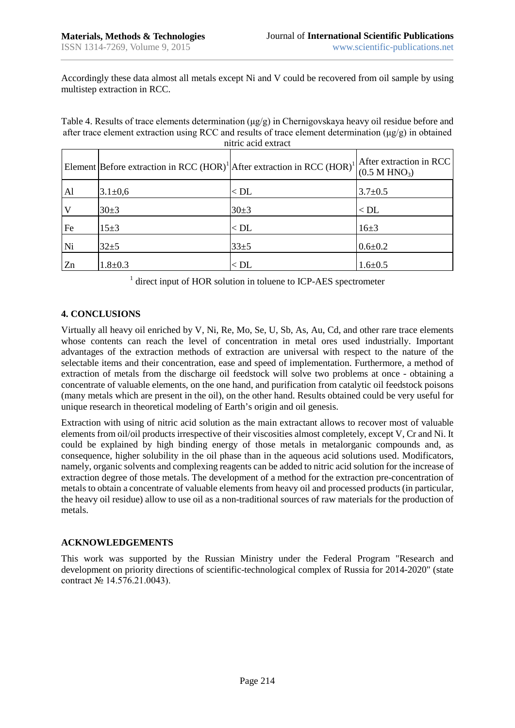Accordingly these data almost all metals except Ni and V could be recovered from oil sample by using multistep extraction in RCC.

Table 4. Results of trace elements determination (μg/g) in Chernigovskaya heavy oil residue before and after trace element extraction using RCC and results of trace element determination (μg/g) in obtained nitric acid extract

| mun aciu caude |                                                                                                |          |                                                      |  |
|----------------|------------------------------------------------------------------------------------------------|----------|------------------------------------------------------|--|
|                | Element Before extraction in RCC (HOR) <sup>1</sup> After extraction in RCC (HOR) <sup>1</sup> |          | After extraction in RCC<br>(0.5 M HNO <sub>3</sub> ) |  |
| Al             | $3.1 \pm 0.6$                                                                                  | $<$ DL   | $3.7 \pm 0.5$                                        |  |
| <b>V</b>       | $30+3$                                                                                         | $30+3$   | $<$ DL                                               |  |
| Fe             | $15 + 3$                                                                                       | $<$ DL   | $16+3$                                               |  |
| Ni             | $32 + 5$                                                                                       | $33 + 5$ | $0.6 + 0.2$                                          |  |
| Zn             | $1.8 + 0.3$                                                                                    | $<$ DL   | $1.6 \pm 0.5$                                        |  |

<sup>1</sup> direct input of HOR solution in toluene to ICP-AES spectrometer

## **4. CONCLUSIONS**

Virtually all heavy oil enriched by V, Ni, Re, Mo, Se, U, Sb, As, Au, Cd, and other rare trace elements whose contents can reach the level of concentration in metal ores used industrially. Important advantages of the extraction methods of extraction are universal with respect to the nature of the selectable items and their concentration, ease and speed of implementation. Furthermore, a method of extraction of metals from the discharge oil feedstock will solve two problems at once - obtaining a concentrate of valuable elements, on the one hand, and purification from catalytic oil feedstock poisons (many metals which are present in the oil), on the other hand. Results obtained could be very useful for unique research in theoretical modeling of Earth's origin and oil genesis.

Extraction with using of nitric acid solution as the main extractant allows to recover most of valuable elements from oil/oil products irrespective of their viscosities almost completely, except V, Cr and Ni. It could be explained by high binding energy of those metals in metalorganic compounds and, as consequence, higher solubility in the oil phase than in the aqueous acid solutions used. Modificators, namely, organic solvents and complexing reagents can be added to nitric acid solution for the increase of extraction degree of those metals. The development of a method for the extraction pre-concentration of metals to obtain a concentrate of valuable elements from heavy oil and processed products (in particular, the heavy oil residue) allow to use oil as a non-traditional sources of raw materials for the production of metals.

## **ACKNOWLEDGEMENTS**

This work was supported by the Russian Ministry under the Federal Program "Research and development on priority directions of scientific-technological complex of Russia for 2014-2020" (state contract № 14.576.21.0043).